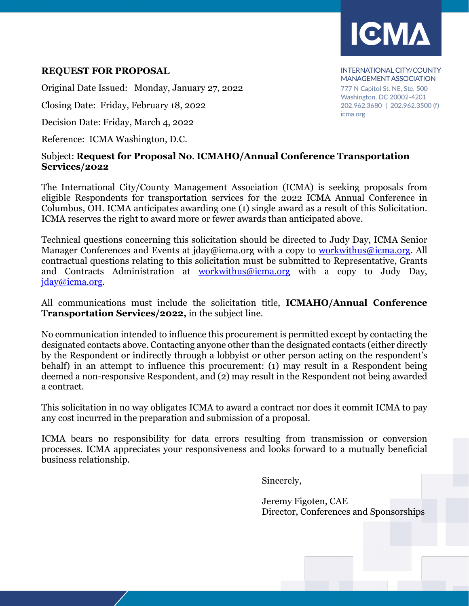

### **REQUEST FOR PROPOSAL**

Original Date Issued: Monday, January 27, 2022

Closing Date: Friday, February 18, 2022

Decision Date: Friday, March 4, 2022

Reference: ICMA Washington, D.C.

#### **INTERNATIONAL CITY/COUNTY MANAGEMENT ASSOCIATION** 777 N Capitol St. NE, Ste. 500 Washington, DC 20002-4201 202.962.3680 | 202.962.3500 (f) icma.org

### Subject: **Request for Proposal No**. **ICMAHO/Annual Conference Transportation Services/2022**

The International City/County Management Association (ICMA) is seeking proposals from eligible Respondents for transportation services for the 2022 ICMA Annual Conference in Columbus, OH. ICMA anticipates awarding one (1) single award as a result of this Solicitation. ICMA reserves the right to award more or fewer awards than anticipated above.

Technical questions concerning this solicitation should be directed to Judy Day, ICMA Senior Manager Conferences and Events at jday@icma.org with a copy to workwithus@icma.org. All contractual questions relating to this solicitation must be submitted to Representative, Grants and Contracts Administration at workwithus@icma.org with a copy to Judy Day, jday@icma.org.

All communications must include the solicitation title, **ICMAHO/Annual Conference Transportation Services/2022,** in the subject line.

No communication intended to influence this procurement is permitted except by contacting the designated contacts above. Contacting anyone other than the designated contacts (either directly by the Respondent or indirectly through a lobbyist or other person acting on the respondent's behalf) in an attempt to influence this procurement: (1) may result in a Respondent being deemed a non-responsive Respondent, and (2) may result in the Respondent not being awarded a contract.

This solicitation in no way obligates ICMA to award a contract nor does it commit ICMA to pay any cost incurred in the preparation and submission of a proposal.

ICMA bears no responsibility for data errors resulting from transmission or conversion processes. ICMA appreciates your responsiveness and looks forward to a mutually beneficial business relationship.

Sincerely,

Jeremy Figoten, CAE Director, Conferences and Sponsorships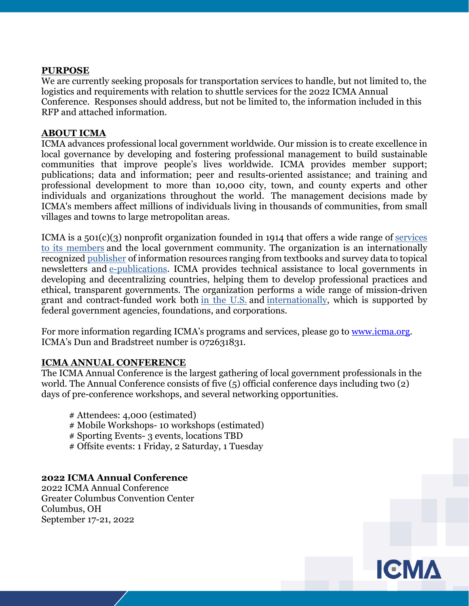#### **PURPOSE**

We are currently seeking proposals for transportation services to handle, but not limited to, the logistics and requirements with relation to shuttle services for the 2022 ICMA Annual Conference. Responses should address, but not be limited to, the information included in this RFP and attached information.

#### **ABOUT ICMA**

ICMA advances professional local government worldwide. Our mission is to create excellence in local governance by developing and fostering professional management to build sustainable communities that improve people's lives worldwide. ICMA provides member support; publications; data and information; peer and results-oriented assistance; and training and professional development to more than 10,000 city, town, and county experts and other individuals and organizations throughout the world. The management decisions made by ICMA's members affect millions of individuals living in thousands of communities, from small villages and towns to large metropolitan areas.

ICMA is a  $501(c)(3)$  nonprofit organization founded in 1914 that offers a wide range of services to its members and the local government community. The organization is an internationally recognized publisher of information resources ranging from textbooks and survey data to topical newsletters and e-publications. ICMA provides technical assistance to local governments in developing and decentralizing countries, helping them to develop professional practices and ethical, transparent governments. The organization performs a wide range of mission-driven grant and contract-funded work both in the U.S. and internationally, which is supported by federal government agencies, foundations, and corporations.

For more information regarding ICMA's programs and services, please go to <u>www.icma.org</u>. ICMA's Dun and Bradstreet number is 072631831.

#### **ICMA ANNUAL CONFERENCE**

The ICMA Annual Conference is the largest gathering of local government professionals in the world. The Annual Conference consists of five (5) official conference days including two (2) days of pre-conference workshops, and several networking opportunities.

- # Attendees: 4,000 (estimated)
- # Mobile Workshops- 10 workshops (estimated)
- # Sporting Events- 3 events, locations TBD
- # Offsite events: 1 Friday, 2 Saturday, 1 Tuesday

### **2022 ICMA Annual Conference**

2022 ICMA Annual Conference Greater Columbus Convention Center Columbus, OH September 17-21, 2022

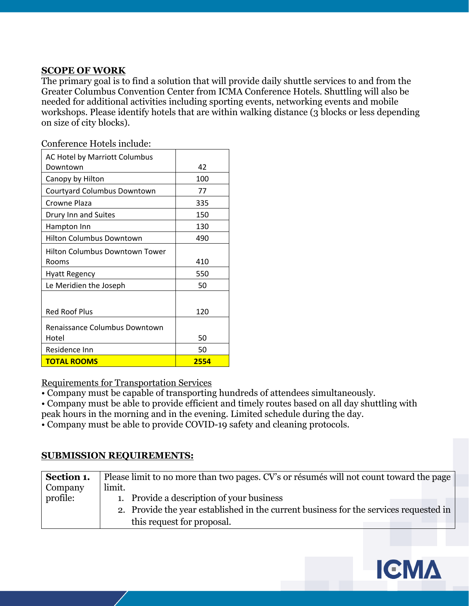### **SCOPE OF WORK**

The primary goal is to find a solution that will provide daily shuttle services to and from the Greater Columbus Convention Center from ICMA Conference Hotels. Shuttling will also be needed for additional activities including sporting events, networking events and mobile workshops. Please identify hotels that are within walking distance (3 blocks or less depending on size of city blocks).

| AC Hotel by Marriott Columbus   |      |
|---------------------------------|------|
| Downtown                        | 42   |
| Canopy by Hilton                | 100  |
| Courtyard Columbus Downtown     | 77   |
| Crowne Plaza                    | 335  |
| Drury Inn and Suites            | 150  |
| Hampton Inn                     | 130  |
| <b>Hilton Columbus Downtown</b> | 490  |
| Hilton Columbus Downtown Tower  |      |
| Rooms                           | 410  |
| Hyatt Regency                   | 550  |
| Le Meridien the Joseph          | 50   |
|                                 |      |
| <b>Red Roof Plus</b>            | 120  |
| Renaissance Columbus Downtown   |      |
| Hotel                           | 50   |
| Residence Inn                   | 50   |
| <b>TOTAL ROOMS</b>              | 2554 |

Conference Hotels include:

### Requirements for Transportation Services

• Company must be capable of transporting hundreds of attendees simultaneously.

• Company must be able to provide efficient and timely routes based on all day shuttling with

peak hours in the morning and in the evening. Limited schedule during the day.

• Company must be able to provide COVID-19 safety and cleaning protocols.

### **SUBMISSION REQUIREMENTS:**

| Section 1.     | Please limit to no more than two pages. CV's or résumés will not count toward the page |
|----------------|----------------------------------------------------------------------------------------|
| <b>Company</b> | limit.                                                                                 |
| profile:       | 1. Provide a description of your business                                              |
|                | 2. Provide the year established in the current business for the services requested in  |
|                | this request for proposal.                                                             |

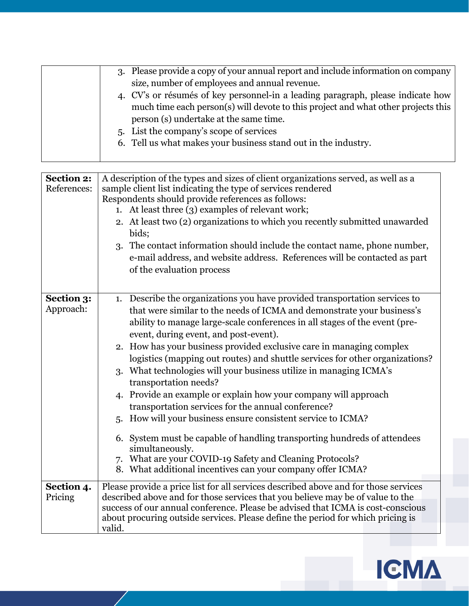| 3. Please provide a copy of your annual report and include information on company |
|-----------------------------------------------------------------------------------|
| size, number of employees and annual revenue.                                     |
| 4. CV's or résumés of key personnel-in a leading paragraph, please indicate how   |
| much time each person(s) will devote to this project and what other projects this |
| person (s) undertake at the same time.                                            |
| 5. List the company's scope of services                                           |
| 6. Tell us what makes your business stand out in the industry.                    |
|                                                                                   |

| <b>Section 2:</b><br>References: | A description of the types and sizes of client organizations served, as well as a<br>sample client list indicating the type of services rendered<br>Respondents should provide references as follows:<br>At least three (3) examples of relevant work;<br>1.<br>2. At least two (2) organizations to which you recently submitted unawarded<br>bids;<br>The contact information should include the contact name, phone number,<br>3.<br>e-mail address, and website address. References will be contacted as part<br>of the evaluation process                                                                                                                                                                                                                                                                                                                                                                                                             |
|----------------------------------|------------------------------------------------------------------------------------------------------------------------------------------------------------------------------------------------------------------------------------------------------------------------------------------------------------------------------------------------------------------------------------------------------------------------------------------------------------------------------------------------------------------------------------------------------------------------------------------------------------------------------------------------------------------------------------------------------------------------------------------------------------------------------------------------------------------------------------------------------------------------------------------------------------------------------------------------------------|
| Section 3:<br>Approach:          | 1. Describe the organizations you have provided transportation services to<br>that were similar to the needs of ICMA and demonstrate your business's<br>ability to manage large-scale conferences in all stages of the event (pre-<br>event, during event, and post-event).<br>2. How has your business provided exclusive care in managing complex<br>logistics (mapping out routes) and shuttle services for other organizations?<br>What technologies will your business utilize in managing ICMA's<br>3.<br>transportation needs?<br>4. Provide an example or explain how your company will approach<br>transportation services for the annual conference?<br>How will your business ensure consistent service to ICMA?<br>5.<br>6. System must be capable of handling transporting hundreds of attendees<br>simultaneously.<br>7. What are your COVID-19 Safety and Cleaning Protocols?<br>8. What additional incentives can your company offer ICMA? |
| Section 4.<br>Pricing            | Please provide a price list for all services described above and for those services<br>described above and for those services that you believe may be of value to the                                                                                                                                                                                                                                                                                                                                                                                                                                                                                                                                                                                                                                                                                                                                                                                      |
|                                  | success of our annual conference. Please be advised that ICMA is cost-conscious<br>about procuring outside services. Please define the period for which pricing is<br>valid.                                                                                                                                                                                                                                                                                                                                                                                                                                                                                                                                                                                                                                                                                                                                                                               |

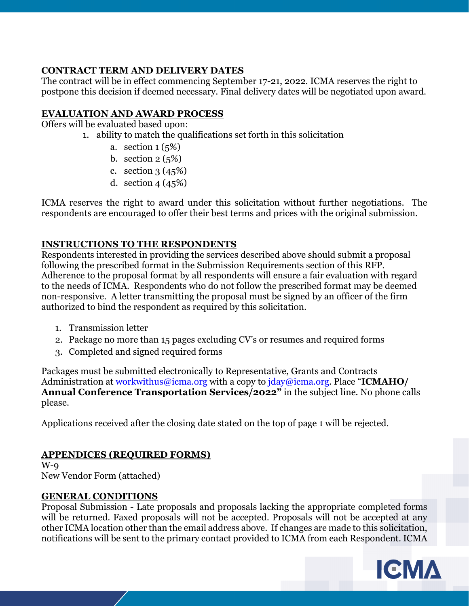## **CONTRACT TERM AND DELIVERY DATES**

The contract will be in effect commencing September 17-21, 2022. ICMA reserves the right to postpone this decision if deemed necessary. Final delivery dates will be negotiated upon award.

# **EVALUATION AND AWARD PROCESS**

Offers will be evaluated based upon:

1. ability to match the qualifications set forth in this solicitation

- a. section  $1(5%)$
- b. section  $2(5%)$
- c. section 3 (45%)
- d. section 4 (45%)

ICMA reserves the right to award under this solicitation without further negotiations. The respondents are encouraged to offer their best terms and prices with the original submission.

## **INSTRUCTIONS TO THE RESPONDENTS**

Respondents interested in providing the services described above should submit a proposal following the prescribed format in the Submission Requirements section of this RFP. Adherence to the proposal format by all respondents will ensure a fair evaluation with regard to the needs of ICMA. Respondents who do not follow the prescribed format may be deemed non-responsive. A letter transmitting the proposal must be signed by an officer of the firm authorized to bind the respondent as required by this solicitation.

- 1. Transmission letter
- 2. Package no more than 15 pages excluding CV's or resumes and required forms
- 3. Completed and signed required forms

Packages must be submitted electronically to Representative, Grants and Contracts Administration at workwithus@icma.org with a copy to jday@icma.org. Place "**ICMAHO/ Annual Conference Transportation Services/2022"** in the subject line. No phone calls please.

Applications received after the closing date stated on the top of page 1 will be rejected.

# **APPENDICES (REQUIRED FORMS)**

 $W$ -9 New Vendor Form (attached)

## **GENERAL CONDITIONS**

Proposal Submission - Late proposals and proposals lacking the appropriate completed forms will be returned. Faxed proposals will not be accepted. Proposals will not be accepted at any other ICMA location other than the email address above. If changes are made to this solicitation, notifications will be sent to the primary contact provided to ICMA from each Respondent. ICMA